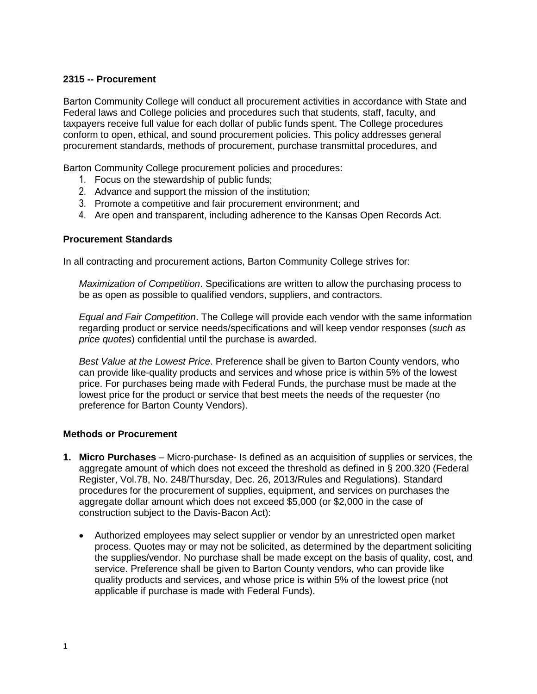## **2315 -- Procurement**

Barton Community College will conduct all procurement activities in accordance with State and Federal laws and College policies and procedures such that students, staff, faculty, and taxpayers receive full value for each dollar of public funds spent. The College procedures conform to open, ethical, and sound procurement policies. This policy addresses general procurement standards, methods of procurement, purchase transmittal procedures, and

Barton Community College procurement policies and procedures:

- 1. Focus on the stewardship of public funds;
- 2. Advance and support the mission of the institution;
- 3. Promote a competitive and fair procurement environment; and
- 4. Are open and transparent, including adherence to the Kansas Open Records Act.

#### **Procurement Standards**

In all contracting and procurement actions, Barton Community College strives for:

*Maximization of Competition*. Specifications are written to allow the purchasing process to be as open as possible to qualified vendors, suppliers, and contractors.

*Equal and Fair Competition*. The College will provide each vendor with the same information regarding product or service needs/specifications and will keep vendor responses (*such as price quotes*) confidential until the purchase is awarded.

*Best Value at the Lowest Price*. Preference shall be given to Barton County vendors, who can provide like-quality products and services and whose price is within 5% of the lowest price. For purchases being made with Federal Funds, the purchase must be made at the lowest price for the product or service that best meets the needs of the requester (no preference for Barton County Vendors).

#### **Methods or Procurement**

- **1. Micro Purchases** Micro-purchase- Is defined as an acquisition of supplies or services, the aggregate amount of which does not exceed the threshold as defined in § 200.320 (Federal Register, Vol.78, No. 248/Thursday, Dec. 26, 2013/Rules and Regulations). Standard procedures for the procurement of supplies, equipment, and services on purchases the aggregate dollar amount which does not exceed \$5,000 (or \$2,000 in the case of construction subject to the Davis-Bacon Act):
	- Authorized employees may select supplier or vendor by an unrestricted open market process. Quotes may or may not be solicited, as determined by the department soliciting the supplies/vendor. No purchase shall be made except on the basis of quality, cost, and service. Preference shall be given to Barton County vendors, who can provide like quality products and services, and whose price is within 5% of the lowest price (not applicable if purchase is made with Federal Funds).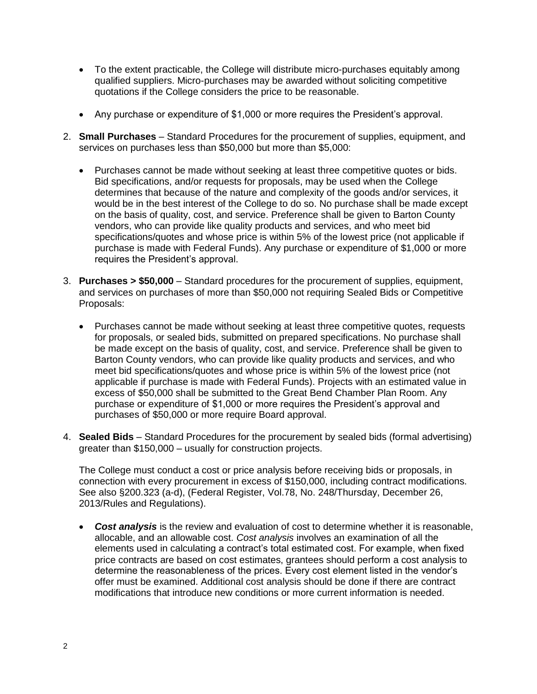- To the extent practicable, the College will distribute micro-purchases equitably among qualified suppliers. Micro-purchases may be awarded without soliciting competitive quotations if the College considers the price to be reasonable.
- Any purchase or expenditure of \$1,000 or more requires the President's approval.
- 2. **Small Purchases** Standard Procedures for the procurement of supplies, equipment, and services on purchases less than \$50,000 but more than \$5,000:
	- Purchases cannot be made without seeking at least three competitive quotes or bids. Bid specifications, and/or requests for proposals, may be used when the College determines that because of the nature and complexity of the goods and/or services, it would be in the best interest of the College to do so. No purchase shall be made except on the basis of quality, cost, and service. Preference shall be given to Barton County vendors, who can provide like quality products and services, and who meet bid specifications/quotes and whose price is within 5% of the lowest price (not applicable if purchase is made with Federal Funds). Any purchase or expenditure of \$1,000 or more requires the President's approval.
- 3. **Purchases > \$50,000** Standard procedures for the procurement of supplies, equipment, and services on purchases of more than \$50,000 not requiring Sealed Bids or Competitive Proposals:
	- Purchases cannot be made without seeking at least three competitive quotes, requests for proposals, or sealed bids, submitted on prepared specifications. No purchase shall be made except on the basis of quality, cost, and service. Preference shall be given to Barton County vendors, who can provide like quality products and services, and who meet bid specifications/quotes and whose price is within 5% of the lowest price (not applicable if purchase is made with Federal Funds). Projects with an estimated value in excess of \$50,000 shall be submitted to the Great Bend Chamber Plan Room. Any purchase or expenditure of \$1,000 or more requires the President's approval and purchases of \$50,000 or more require Board approval.
- 4. **Sealed Bids** Standard Procedures for the procurement by sealed bids (formal advertising) greater than \$150,000 – usually for construction projects.

The College must conduct a cost or price analysis before receiving bids or proposals, in connection with every procurement in excess of \$150,000, including contract modifications. See also §200.323 (a-d), (Federal Register, Vol.78, No. 248/Thursday, December 26, 2013/Rules and Regulations).

 *Cost analysis* is the review and evaluation of cost to determine whether it is reasonable, allocable, and an allowable cost. *Cost analysis* involves an examination of all the elements used in calculating a contract's total estimated cost. For example, when fixed price contracts are based on cost estimates, grantees should perform a cost analysis to determine the reasonableness of the prices. Every cost element listed in the vendor's offer must be examined. Additional cost analysis should be done if there are contract modifications that introduce new conditions or more current information is needed.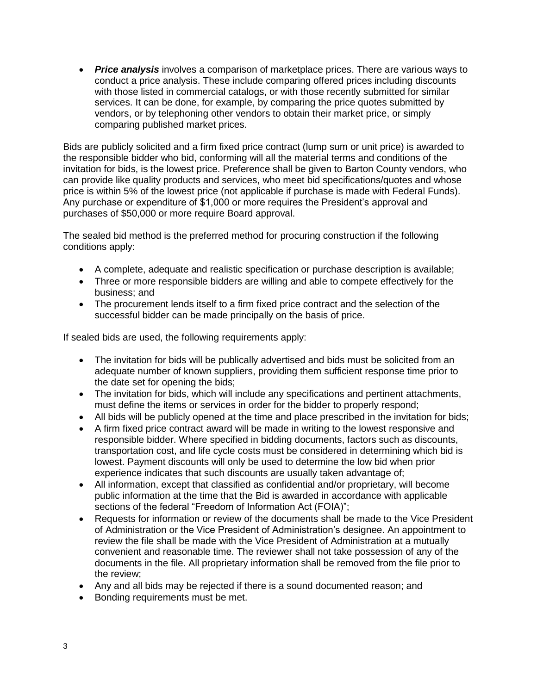*Price analysis* involves a comparison of marketplace prices. There are various ways to conduct a price analysis. These include comparing offered prices including discounts with those listed in commercial catalogs, or with those recently submitted for similar services. It can be done, for example, by comparing the price quotes submitted by vendors, or by telephoning other vendors to obtain their market price, or simply comparing published market prices.

Bids are publicly solicited and a firm fixed price contract (lump sum or unit price) is awarded to the responsible bidder who bid, conforming will all the material terms and conditions of the invitation for bids, is the lowest price. Preference shall be given to Barton County vendors, who can provide like quality products and services, who meet bid specifications/quotes and whose price is within 5% of the lowest price (not applicable if purchase is made with Federal Funds). Any purchase or expenditure of \$1,000 or more requires the President's approval and purchases of \$50,000 or more require Board approval.

The sealed bid method is the preferred method for procuring construction if the following conditions apply:

- A complete, adequate and realistic specification or purchase description is available;
- Three or more responsible bidders are willing and able to compete effectively for the business; and
- The procurement lends itself to a firm fixed price contract and the selection of the successful bidder can be made principally on the basis of price.

If sealed bids are used, the following requirements apply:

- The invitation for bids will be publically advertised and bids must be solicited from an adequate number of known suppliers, providing them sufficient response time prior to the date set for opening the bids;
- The invitation for bids, which will include any specifications and pertinent attachments, must define the items or services in order for the bidder to properly respond;
- All bids will be publicly opened at the time and place prescribed in the invitation for bids;
- A firm fixed price contract award will be made in writing to the lowest responsive and responsible bidder. Where specified in bidding documents, factors such as discounts, transportation cost, and life cycle costs must be considered in determining which bid is lowest. Payment discounts will only be used to determine the low bid when prior experience indicates that such discounts are usually taken advantage of;
- All information, except that classified as confidential and/or proprietary, will become public information at the time that the Bid is awarded in accordance with applicable sections of the federal "Freedom of Information Act (FOIA)";
- Requests for information or review of the documents shall be made to the Vice President of Administration or the Vice President of Administration's designee. An appointment to review the file shall be made with the Vice President of Administration at a mutually convenient and reasonable time. The reviewer shall not take possession of any of the documents in the file. All proprietary information shall be removed from the file prior to the review;
- Any and all bids may be rejected if there is a sound documented reason; and
- Bonding requirements must be met.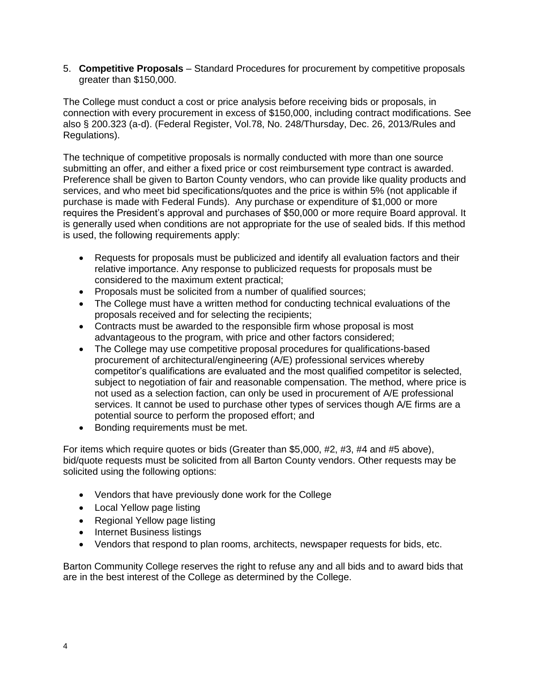5. **Competitive Proposals** – Standard Procedures for procurement by competitive proposals greater than \$150,000.

The College must conduct a cost or price analysis before receiving bids or proposals, in connection with every procurement in excess of \$150,000, including contract modifications. See also § 200.323 (a-d). (Federal Register, Vol.78, No. 248/Thursday, Dec. 26, 2013/Rules and Regulations).

The technique of competitive proposals is normally conducted with more than one source submitting an offer, and either a fixed price or cost reimbursement type contract is awarded. Preference shall be given to Barton County vendors, who can provide like quality products and services, and who meet bid specifications/quotes and the price is within 5% (not applicable if purchase is made with Federal Funds). Any purchase or expenditure of \$1,000 or more requires the President's approval and purchases of \$50,000 or more require Board approval. It is generally used when conditions are not appropriate for the use of sealed bids. If this method is used, the following requirements apply:

- Requests for proposals must be publicized and identify all evaluation factors and their relative importance. Any response to publicized requests for proposals must be considered to the maximum extent practical;
- Proposals must be solicited from a number of qualified sources;
- The College must have a written method for conducting technical evaluations of the proposals received and for selecting the recipients;
- Contracts must be awarded to the responsible firm whose proposal is most advantageous to the program, with price and other factors considered;
- The College may use competitive proposal procedures for qualifications-based procurement of architectural/engineering (A/E) professional services whereby competitor's qualifications are evaluated and the most qualified competitor is selected, subject to negotiation of fair and reasonable compensation. The method, where price is not used as a selection faction, can only be used in procurement of A/E professional services. It cannot be used to purchase other types of services though A/E firms are a potential source to perform the proposed effort; and
- Bonding requirements must be met.

For items which require quotes or bids (Greater than \$5,000, #2, #3, #4 and #5 above), bid/quote requests must be solicited from all Barton County vendors. Other requests may be solicited using the following options:

- Vendors that have previously done work for the College
- Local Yellow page listing
- Regional Yellow page listing
- Internet Business listings
- Vendors that respond to plan rooms, architects, newspaper requests for bids, etc.

Barton Community College reserves the right to refuse any and all bids and to award bids that are in the best interest of the College as determined by the College.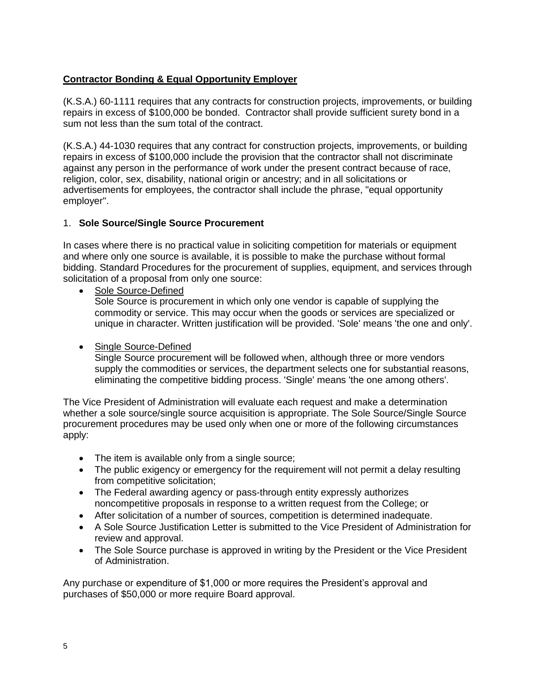# **Contractor Bonding & Equal Opportunity Employer**

(K.S.A.) 60-1111 requires that any contracts for construction projects, improvements, or building repairs in excess of \$100,000 be bonded. Contractor shall provide sufficient surety bond in a sum not less than the sum total of the contract.

(K.S.A.) 44-1030 requires that any contract for construction projects, improvements, or building repairs in excess of \$100,000 include the provision that the contractor shall not discriminate against any person in the performance of work under the present contract because of race, religion, color, sex, disability, national origin or ancestry; and in all solicitations or advertisements for employees, the contractor shall include the phrase, "equal opportunity employer".

# 1. **Sole Source/Single Source Procurement**

In cases where there is no practical value in soliciting competition for materials or equipment and where only one source is available, it is possible to make the purchase without formal bidding. Standard Procedures for the procurement of supplies, equipment, and services through solicitation of a proposal from only one source:

• Sole Source-Defined

Sole Source is procurement in which only one vendor is capable of supplying the commodity or service. This may occur when the goods or services are specialized or unique in character. Written justification will be provided. 'Sole' means 'the one and only'.

## • Single Source-Defined

Single Source procurement will be followed when, although three or more vendors supply the commodities or services, the department selects one for substantial reasons, eliminating the competitive bidding process. 'Single' means 'the one among others'.

The Vice President of Administration will evaluate each request and make a determination whether a sole source/single source acquisition is appropriate. The Sole Source/Single Source procurement procedures may be used only when one or more of the following circumstances apply:

- The item is available only from a single source;
- The public exigency or emergency for the requirement will not permit a delay resulting from competitive solicitation;
- The Federal awarding agency or pass-through entity expressly authorizes noncompetitive proposals in response to a written request from the College; or
- After solicitation of a number of sources, competition is determined inadequate.
- A Sole Source Justification Letter is submitted to the Vice President of Administration for review and approval.
- The Sole Source purchase is approved in writing by the President or the Vice President of Administration.

Any purchase or expenditure of \$1,000 or more requires the President's approval and purchases of \$50,000 or more require Board approval.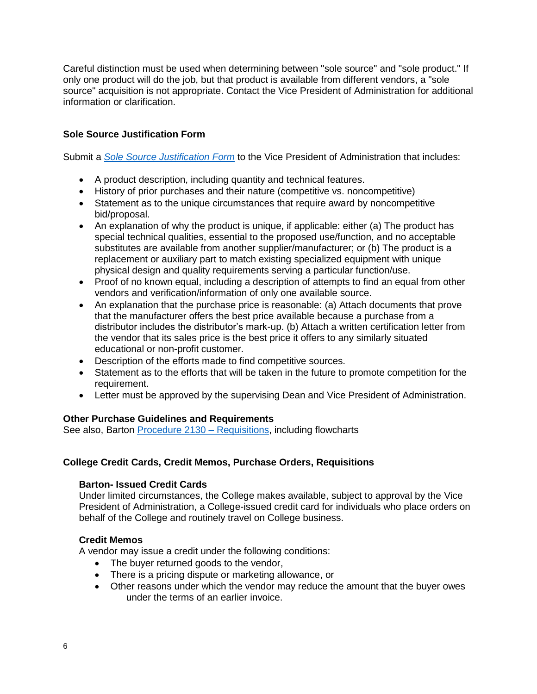Careful distinction must be used when determining between "sole source" and "sole product." If only one product will do the job, but that product is available from different vendors, a "sole source" acquisition is not appropriate. Contact the Vice President of Administration for additional information or clarification.

## **Sole Source Justification Form**

Submit a *[Sole Source Justification Form](http://docs.bartonccc.edu/procedures/forms/Sole%20Source%20Justification%20Form.doc)* to the Vice President of Administration that includes:

- A product description, including quantity and technical features.
- History of prior purchases and their nature (competitive vs. noncompetitive)
- Statement as to the unique circumstances that require award by noncompetitive bid/proposal.
- An explanation of why the product is unique, if applicable: either (a) The product has special technical qualities, essential to the proposed use/function, and no acceptable substitutes are available from another supplier/manufacturer; or (b) The product is a replacement or auxiliary part to match existing specialized equipment with unique physical design and quality requirements serving a particular function/use.
- Proof of no known equal, including a description of attempts to find an equal from other vendors and verification/information of only one available source.
- An explanation that the purchase price is reasonable: (a) Attach documents that prove that the manufacturer offers the best price available because a purchase from a distributor includes the distributor's mark-up. (b) Attach a written certification letter from the vendor that its sales price is the best price it offers to any similarly situated educational or non-profit customer.
- Description of the efforts made to find competitive sources.
- Statement as to the efforts that will be taken in the future to promote competition for the requirement.
- Letter must be approved by the supervising Dean and Vice President of Administration.

## **Other Purchase Guidelines and Requirements**

See also, Barton [Procedure 2130 –](http://docs.bartonccc.edu/procedures/2130-requisitions.pdf) Requisitions, including flowcharts

## **College Credit Cards, Credit Memos, Purchase Orders, Requisitions**

#### **Barton- Issued Credit Cards**

Under limited circumstances, the College makes available, subject to approval by the Vice President of Administration, a College-issued credit card for individuals who place orders on behalf of the College and routinely travel on College business.

#### **Credit Memos**

A vendor may issue a credit under the following conditions:

- The buyer returned goods to the vendor,
- There is a pricing dispute or marketing allowance, or
- Other reasons under which the vendor may reduce the amount that the buyer owes under the terms of an earlier invoice.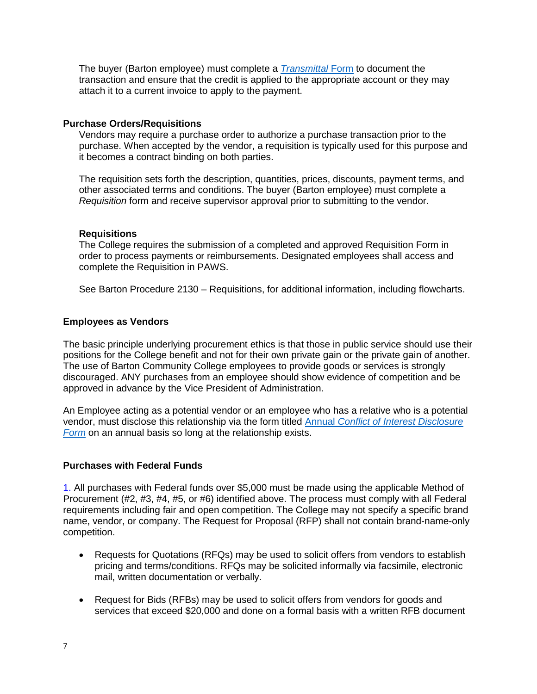The buyer (Barton employee) must complete a *[Transmittal](http://docs.bartonccc.edu/procedures/forms/Transmittal%20Form.doc)* Form to document the transaction and ensure that the credit is applied to the appropriate account or they may attach it to a current invoice to apply to the payment.

#### **Purchase Orders/Requisitions**

Vendors may require a purchase order to authorize a purchase transaction prior to the purchase. When accepted by the vendor, a requisition is typically used for this purpose and it becomes a contract binding on both parties.

The requisition sets forth the description, quantities, prices, discounts, payment terms, and other associated terms and conditions. The buyer (Barton employee) must complete a *Requisition* form and receive supervisor approval prior to submitting to the vendor.

#### **Requisitions**

The College requires the submission of a completed and approved Requisition Form in order to process payments or reimbursements. Designated employees shall access and complete the Requisition in PAWS.

See Barton Procedure 2130 – Requisitions, for additional information, including flowcharts.

#### **Employees as Vendors**

The basic principle underlying procurement ethics is that those in public service should use their positions for the College benefit and not for their own private gain or the private gain of another. The use of Barton Community College employees to provide goods or services is strongly discouraged. ANY purchases from an employee should show evidence of competition and be approved in advance by the Vice President of Administration.

An Employee acting as a potential vendor or an employee who has a relative who is a potential vendor, must disclose this relationship via the form titled Annual *[Conflict of Interest Disclosure](http://docs.bartonccc.edu/procedures/forms/Annual%20Conflict%20of%20Interest%20Disclosure%20Form.pdf)  [Form](http://docs.bartonccc.edu/procedures/forms/Annual%20Conflict%20of%20Interest%20Disclosure%20Form.pdf)* on an annual basis so long at the relationship exists.

#### **Purchases with Federal Funds**

1. All purchases with Federal funds over \$5,000 must be made using the applicable Method of Procurement (#2, #3, #4, #5, or #6) identified above. The process must comply with all Federal requirements including fair and open competition. The College may not specify a specific brand name, vendor, or company. The Request for Proposal (RFP) shall not contain brand-name-only competition.

- Requests for Quotations (RFQs) may be used to solicit offers from vendors to establish pricing and terms/conditions. RFQs may be solicited informally via facsimile, electronic mail, written documentation or verbally.
- Request for Bids (RFBs) may be used to solicit offers from vendors for goods and services that exceed \$20,000 and done on a formal basis with a written RFB document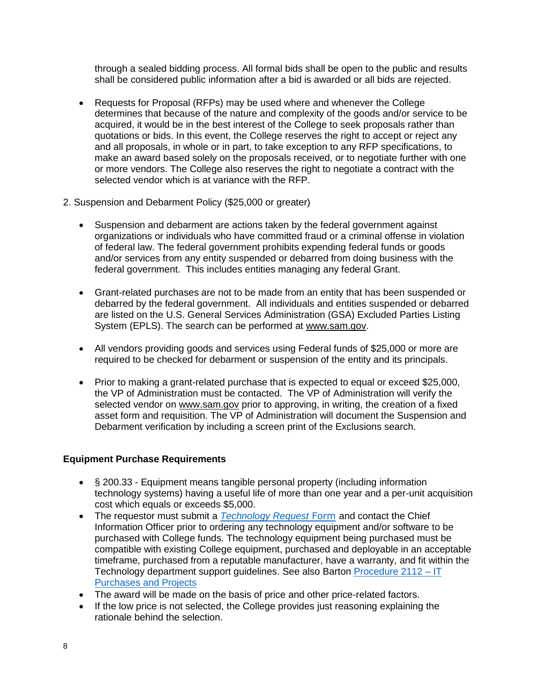through a sealed bidding process. All formal bids shall be open to the public and results shall be considered public information after a bid is awarded or all bids are rejected.

- Requests for Proposal (RFPs) may be used where and whenever the College determines that because of the nature and complexity of the goods and/or service to be acquired, it would be in the best interest of the College to seek proposals rather than quotations or bids. In this event, the College reserves the right to accept or reject any and all proposals, in whole or in part, to take exception to any RFP specifications, to make an award based solely on the proposals received, or to negotiate further with one or more vendors. The College also reserves the right to negotiate a contract with the selected vendor which is at variance with the RFP.
- 2. Suspension and Debarment Policy (\$25,000 or greater)
	- Suspension and debarment are actions taken by the federal government against organizations or individuals who have committed fraud or a criminal offense in violation of federal law. The federal government prohibits expending federal funds or goods and/or services from any entity suspended or debarred from doing business with the federal government. This includes entities managing any federal Grant.
	- Grant-related purchases are not to be made from an entity that has been suspended or debarred by the federal government. All individuals and entities suspended or debarred are listed on the U.S. General Services Administration (GSA) Excluded Parties Listing System (EPLS). The search can be performed at [www.sam.gov.](http://www.sam.gov/)
	- All vendors providing goods and services using Federal funds of \$25,000 or more are required to be checked for debarment or suspension of the entity and its principals.
	- Prior to making a grant-related purchase that is expected to equal or exceed \$25,000, the VP of Administration must be contacted. The VP of Administration will verify the selected vendor on [www.sam.gov](http://www.sam.gov/) prior to approving, in writing, the creation of a fixed asset form and requisition. The VP of Administration will document the Suspension and Debarment verification by including a screen print of the Exclusions search.

## **Equipment Purchase Requirements**

- § 200.33 Equipment means tangible personal property (including information technology systems) having a useful life of more than one year and a per-unit acquisition cost which equals or exceeds \$5,000.
- The requestor must submit a *[Technology Request](http://techrequest.bartonccc.edu/)* Form and contact the Chief Information Officer prior to ordering any technology equipment and/or software to be purchased with College funds. The technology equipment being purchased must be compatible with existing College equipment, purchased and deployable in an acceptable timeframe, purchased from a reputable manufacturer, have a warranty, and fit within the Technology department support guidelines. See also Barton [Procedure 2112 –](http://docs.bartonccc.edu/procedures/2112-itpurchases.pdf) IT [Purchases and Projects](http://docs.bartonccc.edu/procedures/2112-itpurchases.pdf)
- The award will be made on the basis of price and other price-related factors.
- If the low price is not selected, the College provides just reasoning explaining the rationale behind the selection.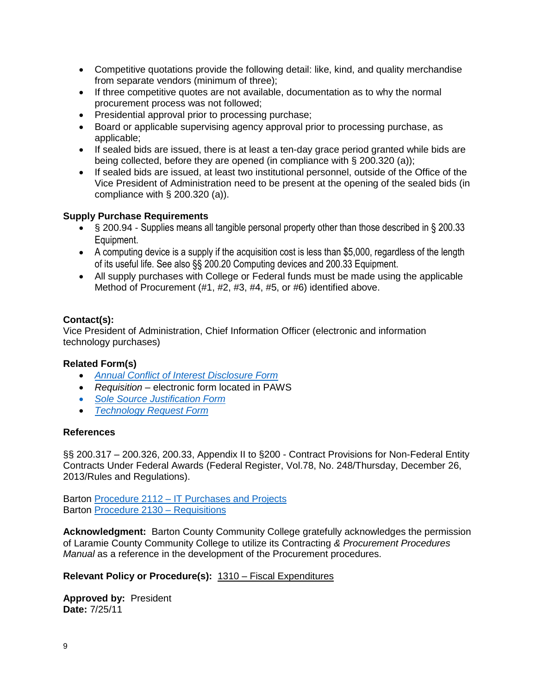- Competitive quotations provide the following detail: like, kind, and quality merchandise from separate vendors (minimum of three);
- If three competitive quotes are not available, documentation as to why the normal procurement process was not followed;
- Presidential approval prior to processing purchase;
- Board or applicable supervising agency approval prior to processing purchase, as applicable;
- If sealed bids are issued, there is at least a ten-day grace period granted while bids are being collected, before they are opened (in compliance with § 200.320 (a));
- If sealed bids are issued, at least two institutional personnel, outside of the Office of the Vice President of Administration need to be present at the opening of the sealed bids (in compliance with § 200.320 (a)).

## **Supply Purchase Requirements**

- § 200.94 Supplies means all tangible personal property other than those described in § 200.33 Equipment.
- A computing device is a supply if the acquisition cost is less than \$5,000, regardless of the length of its useful life. See also §§ 200.20 Computing devices and 200.33 Equipment.
- All supply purchases with College or Federal funds must be made using the applicable Method of Procurement (#1, #2, #3, #4, #5, or #6) identified above.

## **Contact(s):**

Vice President of Administration, Chief Information Officer (electronic and information technology purchases)

## **Related Form(s)**

- *[Annual Conflict of Interest Disclosure Form](http://docs.bartonccc.edu/procedures/forms/Annual%20Conflict%20of%20Interest%20Disclosure%20Form.pdf)*
- *Requisition –* electronic form located in PAWS
- *[Sole Source Justification Form](http://docs.bartonccc.edu/procedures/forms/Sole%20Source%20Justification%20Form.doc)*
- *[Technology Request Form](http://techrequest.bartonccc.edu/)*

## **References**

§§ 200.317 – 200.326, 200.33, Appendix II to §200 - Contract Provisions for Non-Federal Entity Contracts Under Federal Awards (Federal Register, Vol.78, No. 248/Thursday, December 26, 2013/Rules and Regulations).

Barton Procedure 2112 – [IT Purchases and Projects](http://docs.bartonccc.edu/procedures/2112-itpurchases.pdf) Barton [Procedure 2130 –](http://docs.bartonccc.edu/procedures/2130-requisitions.pdf) Requisitions

**Acknowledgment:** Barton County Community College gratefully acknowledges the permission of Laramie County Community College to utilize its Contracting *& Procurement Procedures Manual* as a reference in the development of the Procurement procedures.

## **Relevant Policy or Procedure(s):** 1310 – [Fiscal Expenditures](https://docs.bartonccc.edu/policies/1310-fiscalexpenditures.pdf)

**Approved by:** President **Date:** 7/25/11